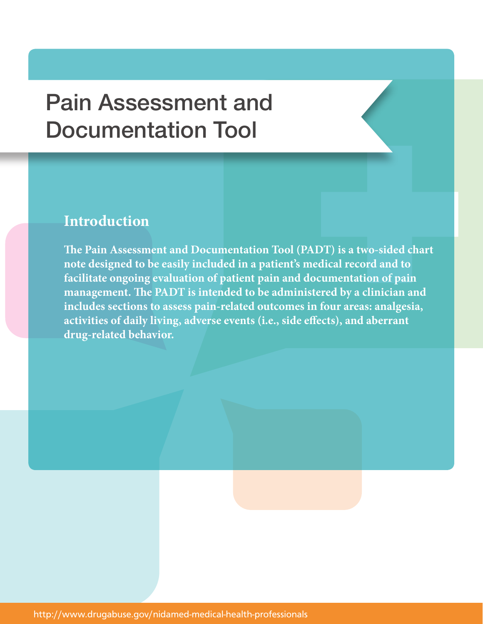## Pain Assessment and Documentation Tool

## **Introduction**

**The Pain Assessment and Documentation Tool (PADT) is a two-sided chart note designed to be easily included in a patient's medical record and to facilitate ongoing evaluation of patient pain and documentation of pain management. The PADT is intended to be administered by a clinician and includes sections to assess pain-related outcomes in four areas: analgesia, activities of daily living, adverse events (i.e., side effects), and aberrant drug-related behavior.**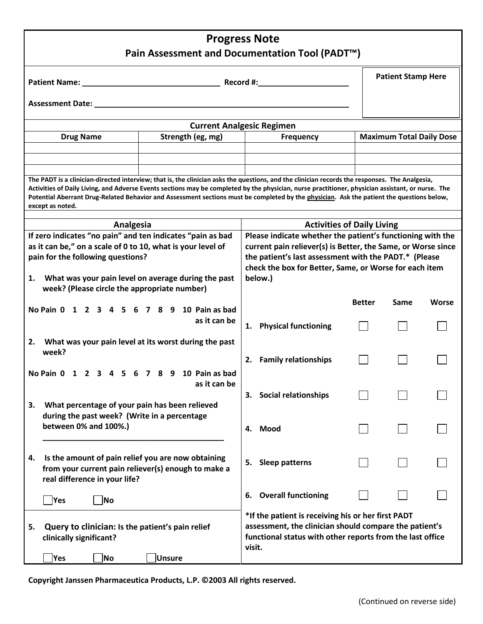| <b>Progress Note</b><br>Pain Assessment and Documentation Tool (PADT <sup>™</sup> )                                                                                                                                                                                                                                                                                                                                                                                  |                                                       |                                                              |                                                                                                                     |               |                                 |       |  |  |  |  |
|----------------------------------------------------------------------------------------------------------------------------------------------------------------------------------------------------------------------------------------------------------------------------------------------------------------------------------------------------------------------------------------------------------------------------------------------------------------------|-------------------------------------------------------|--------------------------------------------------------------|---------------------------------------------------------------------------------------------------------------------|---------------|---------------------------------|-------|--|--|--|--|
|                                                                                                                                                                                                                                                                                                                                                                                                                                                                      |                                                       | <b>Patient Stamp Here</b>                                    |                                                                                                                     |               |                                 |       |  |  |  |  |
|                                                                                                                                                                                                                                                                                                                                                                                                                                                                      |                                                       |                                                              |                                                                                                                     |               |                                 |       |  |  |  |  |
| Assessment Date: ___________                                                                                                                                                                                                                                                                                                                                                                                                                                         |                                                       |                                                              |                                                                                                                     |               |                                 |       |  |  |  |  |
|                                                                                                                                                                                                                                                                                                                                                                                                                                                                      |                                                       |                                                              | <b>Current Analgesic Regimen</b>                                                                                    |               |                                 |       |  |  |  |  |
| <b>Drug Name</b>                                                                                                                                                                                                                                                                                                                                                                                                                                                     | Strength (eg, mg)                                     |                                                              | <b>Frequency</b>                                                                                                    |               | <b>Maximum Total Daily Dose</b> |       |  |  |  |  |
|                                                                                                                                                                                                                                                                                                                                                                                                                                                                      |                                                       |                                                              |                                                                                                                     |               |                                 |       |  |  |  |  |
|                                                                                                                                                                                                                                                                                                                                                                                                                                                                      |                                                       |                                                              |                                                                                                                     |               |                                 |       |  |  |  |  |
| The PADT is a clinician-directed interview; that is, the clinician asks the questions, and the clinician records the responses. The Analgesia,<br>Activities of Daily Living, and Adverse Events sections may be completed by the physician, nurse practitioner, physician assistant, or nurse. The<br>Potential Aberrant Drug-Related Behavior and Assessment sections must be completed by the physician. Ask the patient the questions below,<br>except as noted. |                                                       |                                                              |                                                                                                                     |               |                                 |       |  |  |  |  |
| Analgesia                                                                                                                                                                                                                                                                                                                                                                                                                                                            |                                                       |                                                              | <b>Activities of Daily Living</b>                                                                                   |               |                                 |       |  |  |  |  |
| If zero indicates "no pain" and ten indicates "pain as bad                                                                                                                                                                                                                                                                                                                                                                                                           |                                                       |                                                              | Please indicate whether the patient's functioning with the                                                          |               |                                 |       |  |  |  |  |
| as it can be," on a scale of 0 to 10, what is your level of                                                                                                                                                                                                                                                                                                                                                                                                          |                                                       | current pain reliever(s) is Better, the Same, or Worse since |                                                                                                                     |               |                                 |       |  |  |  |  |
| pain for the following questions?                                                                                                                                                                                                                                                                                                                                                                                                                                    |                                                       |                                                              | the patient's last assessment with the PADT.* (Please<br>check the box for Better, Same, or Worse for each item     |               |                                 |       |  |  |  |  |
| What was your pain level on average during the past<br>1.<br>week? (Please circle the appropriate number)                                                                                                                                                                                                                                                                                                                                                            |                                                       |                                                              | below.)                                                                                                             |               |                                 |       |  |  |  |  |
| No Pain 0 1 2 3 4 5 6 7 8 9 10 Pain as bad                                                                                                                                                                                                                                                                                                                                                                                                                           |                                                       |                                                              |                                                                                                                     | <b>Better</b> | Same                            | Worse |  |  |  |  |
|                                                                                                                                                                                                                                                                                                                                                                                                                                                                      | as it can be                                          |                                                              |                                                                                                                     |               |                                 |       |  |  |  |  |
|                                                                                                                                                                                                                                                                                                                                                                                                                                                                      |                                                       |                                                              | 1. Physical functioning                                                                                             |               |                                 |       |  |  |  |  |
| 2.<br>week?                                                                                                                                                                                                                                                                                                                                                                                                                                                          | What was your pain level at its worst during the past |                                                              |                                                                                                                     |               |                                 |       |  |  |  |  |
|                                                                                                                                                                                                                                                                                                                                                                                                                                                                      |                                                       | 2.                                                           | <b>Family relationships</b>                                                                                         |               |                                 |       |  |  |  |  |
| No Pain 0 1 2 3 4 5 6 7 8 9 10 Pain as bad                                                                                                                                                                                                                                                                                                                                                                                                                           |                                                       |                                                              |                                                                                                                     |               |                                 |       |  |  |  |  |
|                                                                                                                                                                                                                                                                                                                                                                                                                                                                      | as it can be                                          |                                                              |                                                                                                                     |               |                                 |       |  |  |  |  |
| What percentage of your pain has been relieved<br>3.                                                                                                                                                                                                                                                                                                                                                                                                                 |                                                       |                                                              | 3. Social relationships                                                                                             |               |                                 |       |  |  |  |  |
| during the past week? (Write in a percentage                                                                                                                                                                                                                                                                                                                                                                                                                         |                                                       |                                                              |                                                                                                                     |               |                                 |       |  |  |  |  |
| between 0% and 100%.)                                                                                                                                                                                                                                                                                                                                                                                                                                                |                                                       |                                                              | 4. Mood                                                                                                             |               |                                 |       |  |  |  |  |
|                                                                                                                                                                                                                                                                                                                                                                                                                                                                      |                                                       |                                                              |                                                                                                                     |               |                                 |       |  |  |  |  |
| Is the amount of pain relief you are now obtaining<br>4.                                                                                                                                                                                                                                                                                                                                                                                                             |                                                       | 5.                                                           | <b>Sleep patterns</b>                                                                                               |               |                                 |       |  |  |  |  |
| from your current pain reliever(s) enough to make a<br>real difference in your life?                                                                                                                                                                                                                                                                                                                                                                                 |                                                       |                                                              |                                                                                                                     |               |                                 |       |  |  |  |  |
|                                                                                                                                                                                                                                                                                                                                                                                                                                                                      |                                                       |                                                              |                                                                                                                     |               |                                 |       |  |  |  |  |
| Yes<br> No                                                                                                                                                                                                                                                                                                                                                                                                                                                           |                                                       | 6. Overall functioning                                       |                                                                                                                     |               |                                 |       |  |  |  |  |
|                                                                                                                                                                                                                                                                                                                                                                                                                                                                      |                                                       |                                                              | *If the patient is receiving his or her first PADT                                                                  |               |                                 |       |  |  |  |  |
| Query to clinician: Is the patient's pain relief<br>5.                                                                                                                                                                                                                                                                                                                                                                                                               |                                                       |                                                              | assessment, the clinician should compare the patient's<br>functional status with other reports from the last office |               |                                 |       |  |  |  |  |
| clinically significant?                                                                                                                                                                                                                                                                                                                                                                                                                                              | visit.                                                |                                                              |                                                                                                                     |               |                                 |       |  |  |  |  |
| Yes<br>No                                                                                                                                                                                                                                                                                                                                                                                                                                                            | Unsure                                                |                                                              |                                                                                                                     |               |                                 |       |  |  |  |  |

**Copyright Janssen Pharmaceutica Products, L.P. ©2003 All rights reserved.**